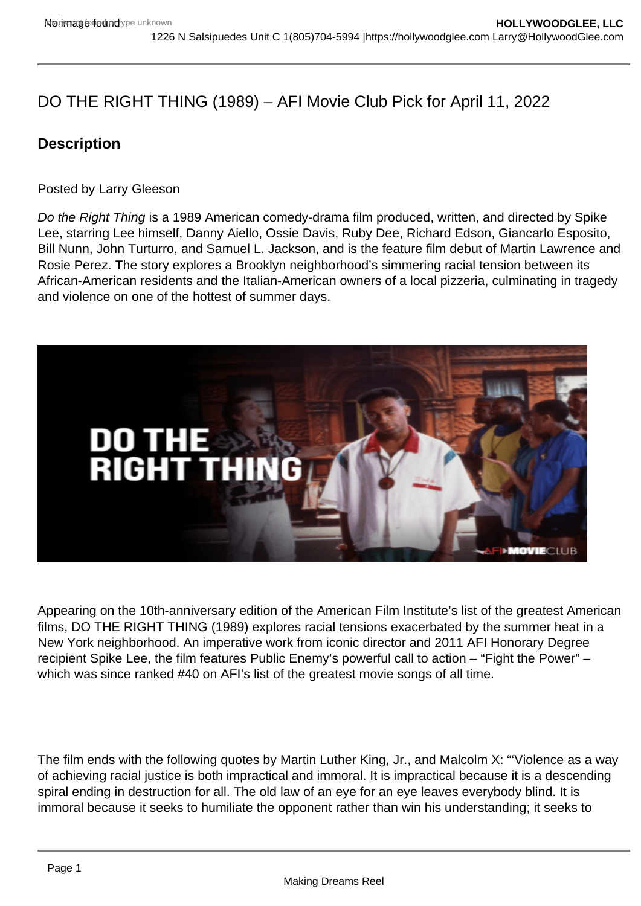# DO THE RIGHT THING (1989) – AFI Movie Club Pick for April 11, 2022

**Description** 

Posted by Larry Gleeson

Do the Right Thing is a 1989 American comedy-drama film produced, written, and directed by Spike Lee, starring Lee himself, Danny Aiello, Ossie Davis, Ruby Dee, Richard Edson, Giancarlo Esposito, Bill Nunn, John Turturro, and Samuel L. Jackson, and is the feature film debut of Martin Lawrence and Rosie Perez. The story explores a Brooklyn neighborhood's simmering racial tension between its African-American residents and the Italian-American owners of a local pizzeria, culminating in tragedy and violence on one of the hottest of summer days.

Appearing on the 10th-anniversary edition of the American Film Institute's list of the greatest American films, DO THE RIGHT THING (1989) explores racial tensions exacerbated by the summer heat in a New York neighborhood. An imperative work from iconic director and 2011 AFI Honorary Degree recipient Spike Lee, the film features Public Enemy's powerful call to action – "Fight the Power" – which was since ranked #40 on AFI's list of the greatest movie songs of all time.

The film ends with the following quotes by Martin Luther King, Jr., and Malcolm X: "'Violence as a way of achieving racial justice is both impractical and immoral. It is impractical because it is a descending spiral ending in destruction for all. The old law of an eye for an eye leaves everybody blind. It is immoral because it seeks to humiliate the opponent rather than win his understanding; it seeks to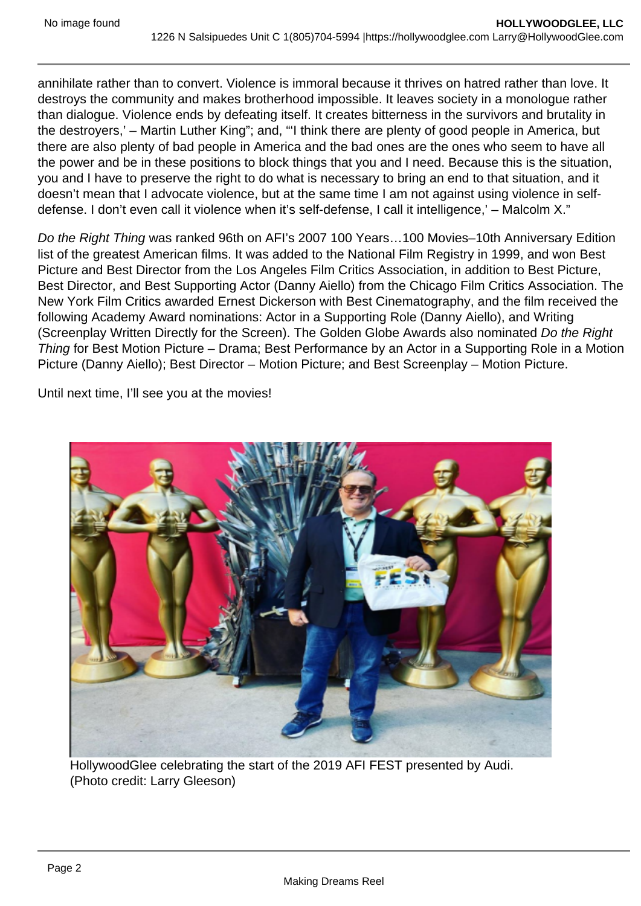annihilate rather than to convert. Violence is immoral because it thrives on hatred rather than love. It destroys the community and makes brotherhood impossible. It leaves society in a monologue rather than dialogue. Violence ends by defeating itself. It creates bitterness in the survivors and brutality in the destroyers,' – Martin Luther King"; and, "'I think there are plenty of good people in America, but there are also plenty of bad people in America and the bad ones are the ones who seem to have all the power and be in these positions to block things that you and I need. Because this is the situation, you and I have to preserve the right to do what is necessary to bring an end to that situation, and it doesn't mean that I advocate violence, but at the same time I am not against using violence in selfdefense. I don't even call it violence when it's self-defense, I call it intelligence,' – Malcolm X."

Do the Right Thing was ranked 96th on AFI's 2007 100 Years…100 Movies–10th Anniversary Edition list of the greatest American films. It was added to the National Film Registry in 1999, and won Best Picture and Best Director from the Los Angeles Film Critics Association, in addition to Best Picture, Best Director, and Best Supporting Actor (Danny Aiello) from the Chicago Film Critics Association. The New York Film Critics awarded Ernest Dickerson with Best Cinematography, and the film received the following Academy Award nominations: Actor in a Supporting Role (Danny Aiello), and Writing (Screenplay Written Directly for the Screen). The Golden Globe Awards also nominated Do the Right Thing for Best Motion Picture – Drama; Best Performance by an Actor in a Supporting Role in a Motion Picture (Danny Aiello); Best Director – Motion Picture; and Best Screenplay – Motion Picture.

Until next time, I'll see you at the movies!

HollywoodGlee celebrating the start of the 2019 AFI FEST presented by Audi. (Photo credit: Larry Gleeson)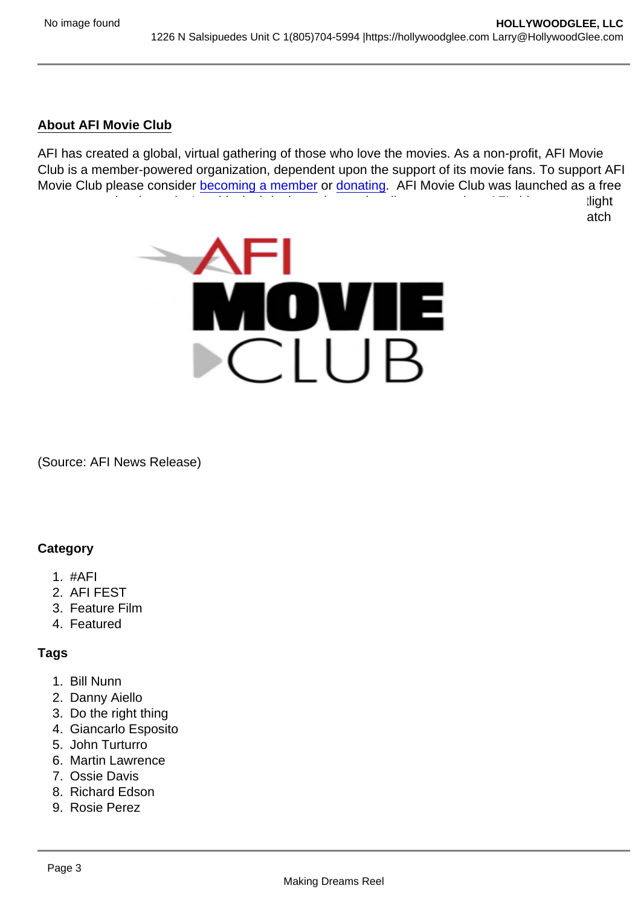## About AFI Movie Club

AFI has created a global, virtual gathering of those who love the movies. As a non-profit, AFI Movie Club is a member-powered organization, dependent upon the support of its movie fans. To support AFI Movie Club please consider [becoming a member](https://www.afi.com/support/?Op=join) or [donating](https://www.afi.com/support/?Op=donate). AFI Movie Club was launched as a free program to raise the nation's spirits by bringing artists and audiences together. AFI shines a spotlight on an iconic movie each day. Audiences can "gather" at AFI.com/MovieClub to find out how to watch the featured movie of the day with the use of their preexisting streaming service credentials.

(Source: AFI News Release)

### **Category**

- 1. #AFI
- 2. AFI FEST
- 3. Feature Film
- 4. Featured

### Tags

- 1. Bill Nunn
- 2. Danny Aiello
- 3. Do the right thing
- 4. Giancarlo Esposito
- 5. John Turturro
- 6. Martin Lawrence
- 7. Ossie Davis
- 8. Richard Edson
- 9. Rosie Perez